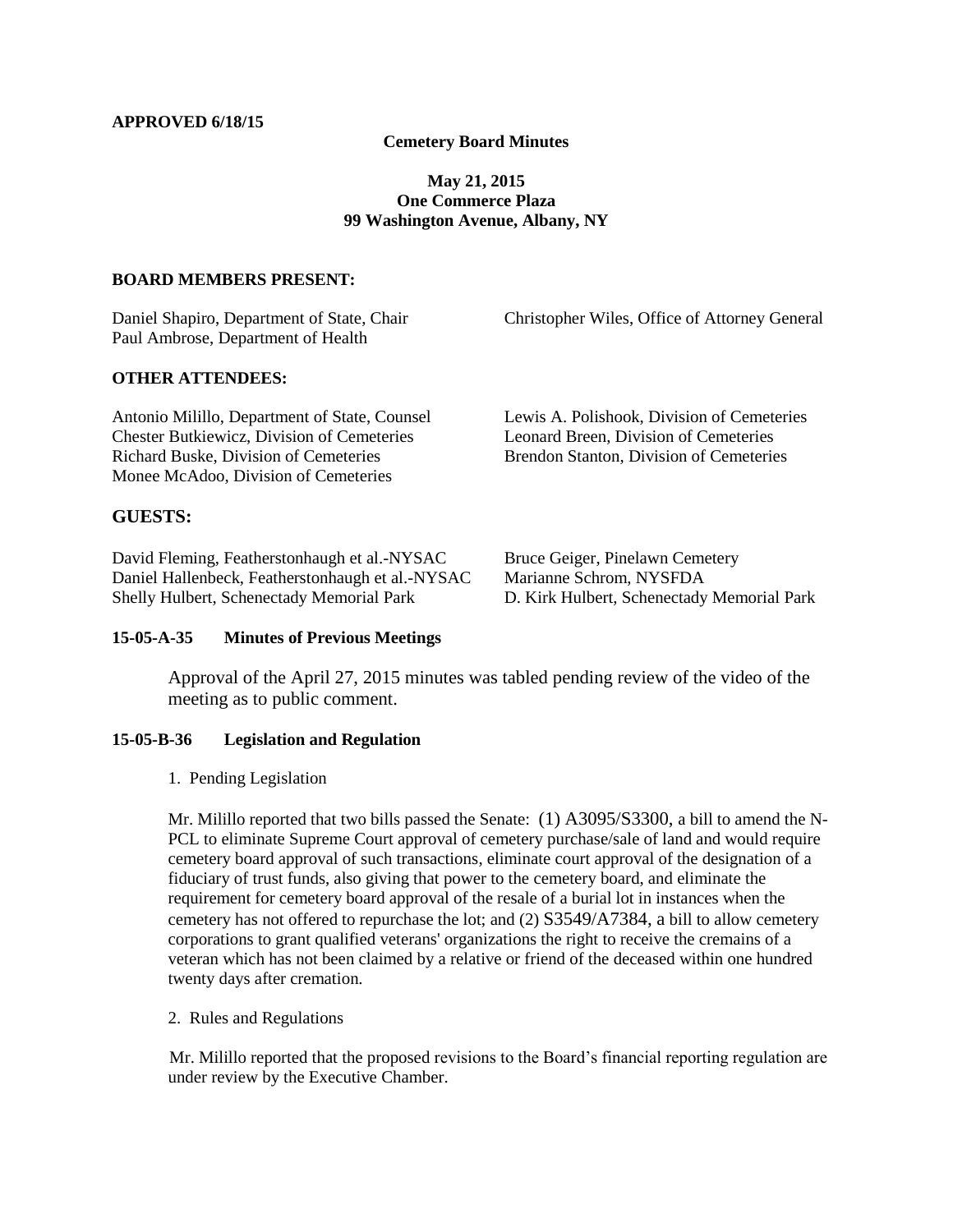### **Cemetery Board Minutes**

## **May 21, 2015 One Commerce Plaza 99 Washington Avenue, Albany, NY**

#### **BOARD MEMBERS PRESENT:**

Paul Ambrose, Department of Health

Daniel Shapiro, Department of State, Chair Christopher Wiles, Office of Attorney General

#### **OTHER ATTENDEES:**

Antonio Milillo, Department of State, Counsel Lewis A. Polishook, Division of Cemeteries Chester Butkiewicz, Division of Cemeteries Leonard Breen, Division of Cemeteries Richard Buske, Division of Cemeteries Brendon Stanton, Division of Cemeteries Monee McAdoo, Division of Cemeteries

### **GUESTS:**

David Fleming, Featherstonhaugh et al.-NYSAC Bruce Geiger, Pinelawn Cemetery Daniel Hallenbeck, Featherstonhaugh et al.-NYSAC Marianne Schrom, NYSFDA Shelly Hulbert, Schenectady Memorial Park D. Kirk Hulbert, Schenectady Memorial Park

#### **15-05-A-35 Minutes of Previous Meetings**

Approval of the April 27, 2015 minutes was tabled pending review of the video of the meeting as to public comment.

#### **15-05-B-36 Legislation and Regulation**

1. Pending Legislation

Mr. Milillo reported that two bills passed the Senate: (1) A3095/S3300, a bill to amend the N-PCL to eliminate Supreme Court approval of cemetery purchase/sale of land and would require cemetery board approval of such transactions, eliminate court approval of the designation of a fiduciary of trust funds, also giving that power to the cemetery board, and eliminate the requirement for cemetery board approval of the resale of a burial lot in instances when the cemetery has not offered to repurchase the lot; and (2) S3549/A7384, a bill to allow cemetery corporations to grant qualified veterans' organizations the right to receive the cremains of a veteran which has not been claimed by a relative or friend of the deceased within one hundred twenty days after cremation.

2. Rules and Regulations

Mr. Milillo reported that the proposed revisions to the Board's financial reporting regulation are under review by the Executive Chamber.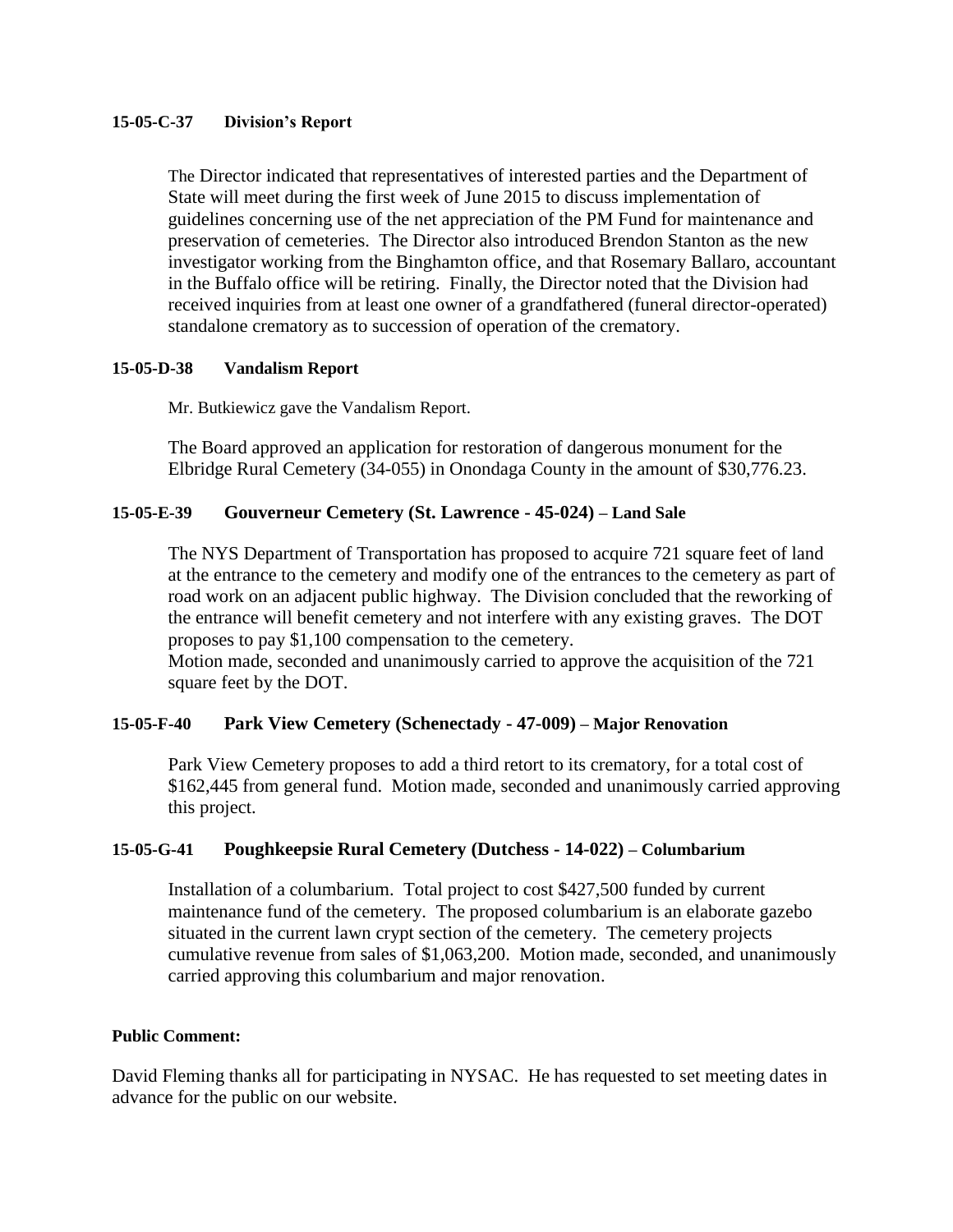# **15-05-C-37 Division's Report**

The Director indicated that representatives of interested parties and the Department of State will meet during the first week of June 2015 to discuss implementation of guidelines concerning use of the net appreciation of the PM Fund for maintenance and preservation of cemeteries. The Director also introduced Brendon Stanton as the new investigator working from the Binghamton office, and that Rosemary Ballaro, accountant in the Buffalo office will be retiring. Finally, the Director noted that the Division had received inquiries from at least one owner of a grandfathered (funeral director-operated) standalone crematory as to succession of operation of the crematory.

# **15-05-D-38 Vandalism Report**

Mr. Butkiewicz gave the Vandalism Report.

The Board approved an application for restoration of dangerous monument for the Elbridge Rural Cemetery (34-055) in Onondaga County in the amount of \$30,776.23.

# **15-05-E-39 Gouverneur Cemetery (St. Lawrence - 45-024) – Land Sale**

The NYS Department of Transportation has proposed to acquire 721 square feet of land at the entrance to the cemetery and modify one of the entrances to the cemetery as part of road work on an adjacent public highway. The Division concluded that the reworking of the entrance will benefit cemetery and not interfere with any existing graves. The DOT proposes to pay \$1,100 compensation to the cemetery.

Motion made, seconded and unanimously carried to approve the acquisition of the 721 square feet by the DOT.

# **15-05-F-40 Park View Cemetery (Schenectady - 47-009) – Major Renovation**

Park View Cemetery proposes to add a third retort to its crematory, for a total cost of \$162,445 from general fund. Motion made, seconded and unanimously carried approving this project.

# **15-05-G-41 Poughkeepsie Rural Cemetery (Dutchess - 14-022) – Columbarium**

Installation of a columbarium. Total project to cost \$427,500 funded by current maintenance fund of the cemetery. The proposed columbarium is an elaborate gazebo situated in the current lawn crypt section of the cemetery. The cemetery projects cumulative revenue from sales of \$1,063,200. Motion made, seconded, and unanimously carried approving this columbarium and major renovation.

# **Public Comment:**

David Fleming thanks all for participating in NYSAC. He has requested to set meeting dates in advance for the public on our website.